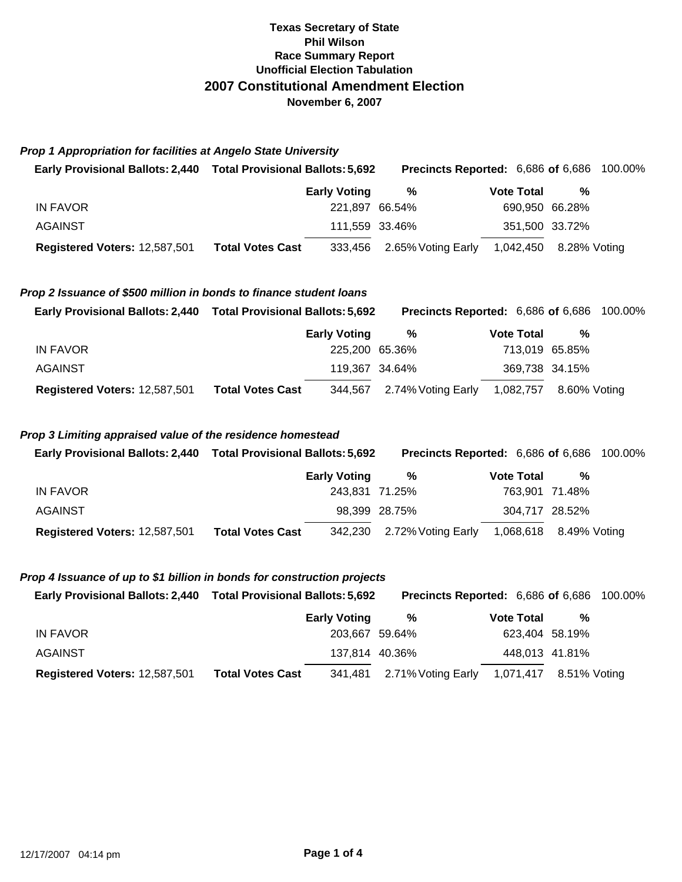# **Texas Secretary of State Phil Wilson Race Summary Report Unofficial Election Tabulation 2007 Constitutional Amendment Election November 6, 2007**

|  |  |  | <b>Prop 1 Appropriation for facilities at Angelo State University</b> |  |
|--|--|--|-----------------------------------------------------------------------|--|
|--|--|--|-----------------------------------------------------------------------|--|

| Early Provisional Ballots: 2,440 Total Provisional Ballots: 5,692 |                         | <b>Precincts Reported: 6,686 of 6,686 100.00%</b> |                   |                        |  |
|-------------------------------------------------------------------|-------------------------|---------------------------------------------------|-------------------|------------------------|--|
|                                                                   | <b>Early Voting</b>     | %                                                 | <b>Vote Total</b> | %                      |  |
| IN FAVOR                                                          |                         | 221.897 66.54%                                    | 690,950 66.28%    |                        |  |
| AGAINST                                                           |                         | 111,559 33.46%                                    | 351,500 33.72%    |                        |  |
| Registered Voters: 12,587,501                                     | <b>Total Votes Cast</b> | 333,456 2.65% Voting Early                        |                   | 1,042,450 8.28% Voting |  |

## *Prop 2 Issuance of \$500 million in bonds to finance student loans*

| Early Provisional Ballots: 2,440 Total Provisional Ballots: 5,692 |                         |                     | <b>Precincts Reported: 6,686 of 6,686 100.00%</b> |                   |                        |  |
|-------------------------------------------------------------------|-------------------------|---------------------|---------------------------------------------------|-------------------|------------------------|--|
|                                                                   |                         | <b>Early Voting</b> | %                                                 | <b>Vote Total</b> | %                      |  |
| IN FAVOR                                                          |                         | 225,200 65.36%      |                                                   |                   | 713,019 65.85%         |  |
| AGAINST                                                           |                         | 119,367 34.64%      |                                                   |                   | 369,738 34.15%         |  |
| Registered Voters: 12,587,501                                     | <b>Total Votes Cast</b> |                     | 344,567 2.74% Voting Early                        |                   | 1,082,757 8.60% Voting |  |

## *Prop 3 Limiting appraised value of the residence homestead*

| Early Provisional Ballots: 2,440 Total Provisional Ballots: 5,692 |                         |                     |                            | <b>Precincts Reported: 6,686 of 6,686 100.00%</b> |                        |  |
|-------------------------------------------------------------------|-------------------------|---------------------|----------------------------|---------------------------------------------------|------------------------|--|
|                                                                   |                         | <b>Early Voting</b> | %                          | <b>Vote Total</b>                                 | %                      |  |
| IN FAVOR                                                          |                         | 243,831 71.25%      |                            |                                                   | 763,901 71.48%         |  |
| AGAINST                                                           |                         |                     | 98,399 28.75%              |                                                   | 304,717 28.52%         |  |
| Registered Voters: 12,587,501                                     | <b>Total Votes Cast</b> |                     | 342,230 2.72% Voting Early |                                                   | 1,068,618 8.49% Voting |  |

## *Prop 4 Issuance of up to \$1 billion in bonds for construction projects*

| <b>Early Provisional Ballots: 2,440</b> | <b>Total Provisional Ballots: 5,692</b> |                     | <b>Precincts Reported: 6,686 of 6,686 100.00%</b> |                        |                |  |
|-----------------------------------------|-----------------------------------------|---------------------|---------------------------------------------------|------------------------|----------------|--|
|                                         |                                         | <b>Early Voting</b> | %                                                 | <b>Vote Total</b>      | %              |  |
| IN FAVOR                                |                                         | 203.667 59.64%      |                                                   |                        | 623,404 58.19% |  |
| <b>AGAINST</b>                          |                                         |                     | 137,814 40.36%                                    |                        | 448,013 41.81% |  |
| Registered Voters: 12,587,501           | <b>Total Votes Cast</b>                 |                     | 341,481 2.71% Voting Early                        | 1,071,417 8.51% Voting |                |  |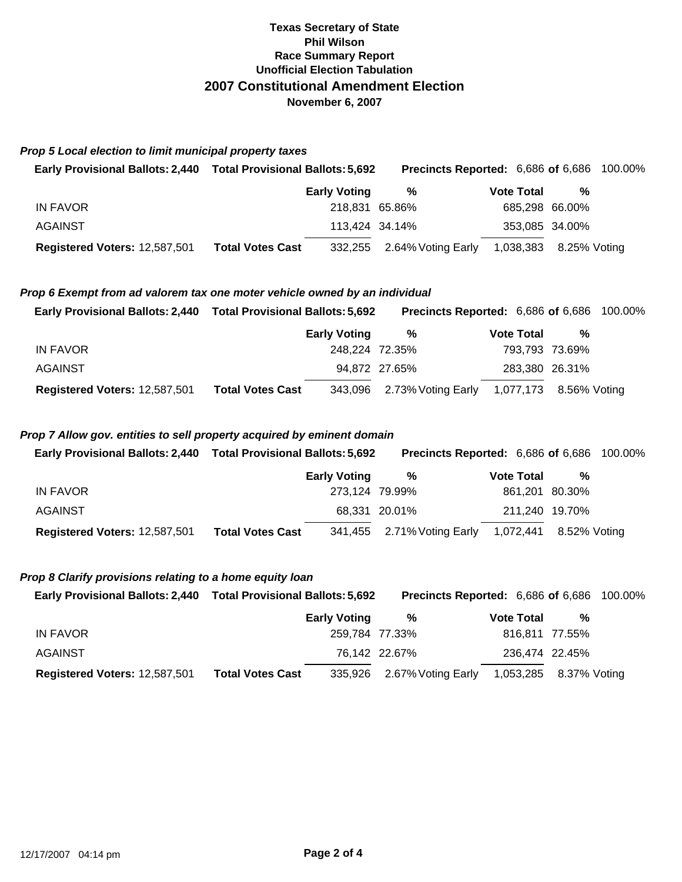# **Texas Secretary of State Phil Wilson Race Summary Report Unofficial Election Tabulation 2007 Constitutional Amendment Election November 6, 2007**

|                                                                            | Early Provisional Ballots: 2,440 Total Provisional Ballots: 5,692 |                     | Precincts Reported: 6,686 of 6,686 |                   |                | 100.00% |
|----------------------------------------------------------------------------|-------------------------------------------------------------------|---------------------|------------------------------------|-------------------|----------------|---------|
|                                                                            |                                                                   | <b>Early Voting</b> | $\%$                               | <b>Vote Total</b> | $\%$           |         |
| <b>IN FAVOR</b>                                                            |                                                                   | 218,831 65.86%      |                                    |                   | 685,298 66.00% |         |
| <b>AGAINST</b>                                                             |                                                                   | 113,424 34.14%      |                                    |                   | 353,085 34.00% |         |
| Registered Voters: 12,587,501                                              | <b>Total Votes Cast</b>                                           | 332,255             | 2.64% Voting Early                 | 1,038,383         | 8.25% Voting   |         |
|                                                                            |                                                                   |                     |                                    |                   |                |         |
| Prop 6 Exempt from ad valorem tax one moter vehicle owned by an individual |                                                                   |                     |                                    |                   |                |         |
| Early Provisional Ballots: 2,440 Total Provisional Ballots: 5,692          |                                                                   |                     | Precincts Reported: 6,686 of 6,686 |                   |                | 100.00% |
|                                                                            |                                                                   | <b>Early Voting</b> | %                                  | <b>Vote Total</b> | %              |         |
| <b>IN FAVOR</b>                                                            |                                                                   | 248,224 72.35%      |                                    |                   | 793,793 73.69% |         |
| <b>AGAINST</b>                                                             |                                                                   |                     | 94,872 27.65%                      |                   | 283,380 26.31% |         |

## *Prop 7 Allow gov. entities to sell property acquired by eminent domain*

| Early Provisional Ballots: 2,440 Total Provisional Ballots: 5,692 |                         |                     |                            | <b>Precincts Reported: 6,686 of 6,686 100.00%</b> |                |                        |  |
|-------------------------------------------------------------------|-------------------------|---------------------|----------------------------|---------------------------------------------------|----------------|------------------------|--|
|                                                                   |                         | <b>Early Voting</b> | %                          | <b>Vote Total</b>                                 |                | %                      |  |
| IN FAVOR                                                          |                         | 273.124 79.99%      |                            |                                                   | 861,201 80.30% |                        |  |
| <b>AGAINST</b>                                                    |                         |                     | 68.331 20.01%              |                                                   | 211,240 19.70% |                        |  |
| Registered Voters: 12,587,501                                     | <b>Total Votes Cast</b> |                     | 341,455 2.71% Voting Early |                                                   |                | 1,072,441 8.52% Voting |  |

# *Prop 8 Clarify provisions relating to a home equity loan*

*Prop 5 Local election to limit municipal property taxes* 

| Early Provisional Ballots: 2,440 Total Provisional Ballots: 5,692 |                     | <b>Precincts Reported: 6,686 of 6,686 100.00%</b> |                   |   |  |
|-------------------------------------------------------------------|---------------------|---------------------------------------------------|-------------------|---|--|
|                                                                   | <b>Early Voting</b> | %                                                 | <b>Vote Total</b> | % |  |
| IN FAVOR                                                          | 259.784 77.33%      |                                                   | 816.811 77.55%    |   |  |
| <b>AGAINST</b>                                                    |                     | 76,142 22.67%                                     | 236,474 22.45%    |   |  |

| Registered Voters: 12,587,501    Total Votes Cast |  | 335,926 2.67% Voting Early 1,053,285 8.37% Voting |  |
|---------------------------------------------------|--|---------------------------------------------------|--|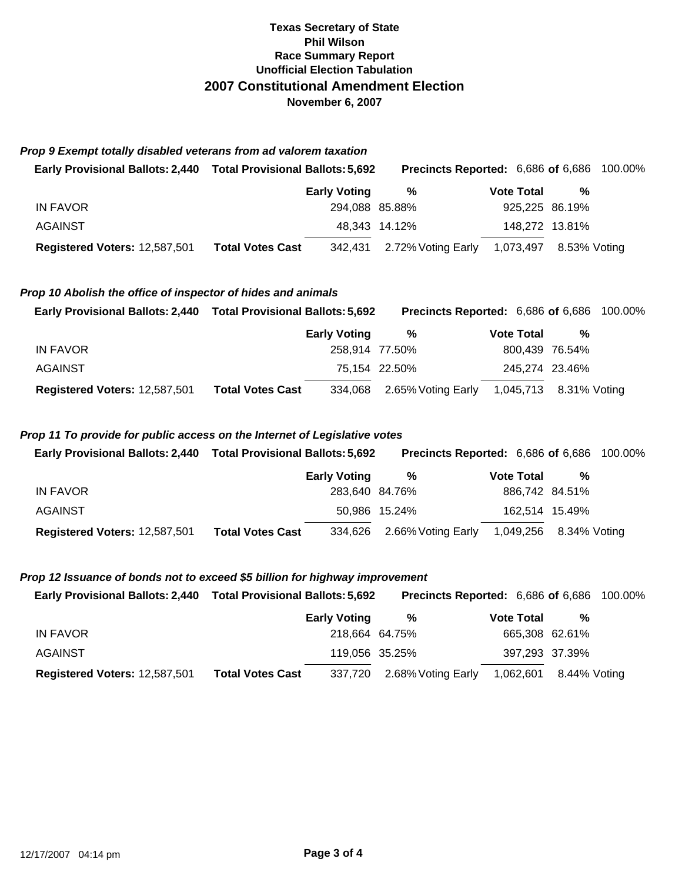# **Texas Secretary of State Phil Wilson Race Summary Report Unofficial Election Tabulation 2007 Constitutional Amendment Election November 6, 2007**

| Prop 9 Exempt totally disabled veterans from ad valorem taxation |  |
|------------------------------------------------------------------|--|
|------------------------------------------------------------------|--|

| <b>Early Provisional Ballots: 2,440</b> | <b>Total Provisional Ballots: 5,692</b> | <b>Precincts Reported: 6,686 of 6,686 100.00%</b> |                        |                |  |
|-----------------------------------------|-----------------------------------------|---------------------------------------------------|------------------------|----------------|--|
|                                         | <b>Early Voting</b>                     | %                                                 | <b>Vote Total</b>      | %              |  |
| IN FAVOR                                |                                         | 294,088 85.88%                                    | 925,225 86.19%         |                |  |
| <b>AGAINST</b>                          |                                         | 48.343 14.12%                                     |                        | 148,272 13.81% |  |
| Registered Voters: 12,587,501           | <b>Total Votes Cast</b><br>342,431      | 2.72% Voting Early                                | 1,073,497 8.53% Voting |                |  |

#### *Prop 10 Abolish the office of inspector of hides and animals*

| Early Provisional Ballots: 2,440 Total Provisional Ballots: 5,692 |                         |                     | <b>Precincts Reported: 6,686 of 6,686 100.00%</b> |                   |                        |  |
|-------------------------------------------------------------------|-------------------------|---------------------|---------------------------------------------------|-------------------|------------------------|--|
|                                                                   |                         | <b>Early Voting</b> | %                                                 | <b>Vote Total</b> | %                      |  |
| IN FAVOR                                                          |                         | 258,914 77.50%      |                                                   |                   | 800,439 76.54%         |  |
| AGAINST                                                           |                         |                     | 75.154 22.50%                                     |                   | 245,274 23.46%         |  |
| Registered Voters: 12,587,501                                     | <b>Total Votes Cast</b> |                     | 334,068 2.65% Voting Early                        |                   | 1,045,713 8.31% Voting |  |

## *Prop 11 To provide for public access on the Internet of Legislative votes*

| <b>Early Provisional Ballots: 2,440</b> | <b>Total Provisional Ballots: 5,692</b> |                     |                            | <b>Precincts Reported: 6,686 of 6,686 100.00%</b> |                        |  |
|-----------------------------------------|-----------------------------------------|---------------------|----------------------------|---------------------------------------------------|------------------------|--|
|                                         |                                         | <b>Early Voting</b> | %                          | <b>Vote Total</b>                                 | %                      |  |
| IN FAVOR                                |                                         | 283,640 84.76%      |                            |                                                   | 886,742 84.51%         |  |
| <b>AGAINST</b>                          |                                         |                     | 50,986 15.24%              |                                                   | 162,514 15.49%         |  |
| Registered Voters: 12,587,501           | <b>Total Votes Cast</b>                 |                     | 334,626 2.66% Voting Early |                                                   | 1,049,256 8.34% Voting |  |

#### *Prop 12 Issuance of bonds not to exceed \$5 billion for highway improvement*

| Early Provisional Ballots: 2,440 Total Provisional Ballots: 5,692 |              | <b>Precincts Reported: 6,686 of 6,686 100.00%</b> |  |                                                       |  |
|-------------------------------------------------------------------|--------------|---------------------------------------------------|--|-------------------------------------------------------|--|
|                                                                   | Early Vatina |                                                   |  | $V_{\alpha}$ <sub>10</sub> $T_{\alpha}$ <sub>10</sub> |  |

|                                      |                         | Lany vound     | 70                                                | VULG I ULAI    | - 70 |
|--------------------------------------|-------------------------|----------------|---------------------------------------------------|----------------|------|
| IN FAVOR                             |                         | 218,664 64.75% |                                                   | 665,308 62.61% |      |
| AGAINST                              |                         | 119,056 35.25% |                                                   | 397,293 37.39% |      |
| <b>Registered Voters: 12,587,501</b> | <b>Total Votes Cast</b> |                | 337,720 2.68% Voting Early 1,062,601 8.44% Voting |                |      |